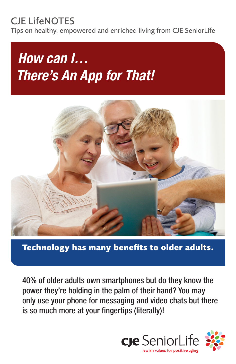# CJE LifeNOTES

Tips on healthy, empowered and enriched living from CJE SeniorLife

# *How can I… There's An App for That!*



**Technology has many benefits to older adults.**

40% of older adults own smartphones but do they know the power they're holding in the palm of their hand? You may only use your phone for messaging and video chats but there is so much more at your fingertips (literally)!

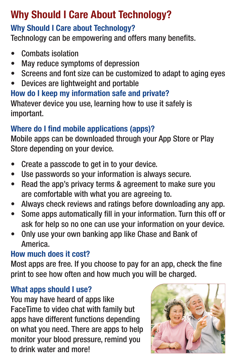# Why Should I Care About Technology?

### Why Should I Care about Technology?

Technology can be empowering and offers many benefits.

- Combats isolation
- May reduce symptoms of depression
- Screens and font size can be customized to adapt to aging eyes
- Devices are lightweight and portable

How do I keep my information safe and private? Whatever device you use, learning how to use it safely is important.

## Where do I find mobile applications (apps)?

Mobile apps can be downloaded through your App Store or Play Store depending on your device.

- Create a passcode to get in to your device.
- Use passwords so your information is always secure.
- Read the app's privacy terms & agreement to make sure you are comfortable with what you are agreeing to.
- Always check reviews and ratings before downloading any app.
- Some apps automatically fill in your information. Turn this off or ask for help so no one can use your information on your device.
- Only use your own banking app like Chase and Bank of America.

#### How much does it cost?

Most apps are free. If you choose to pay for an app, check the fine print to see how often and how much you will be charged.

#### What apps should I use?

You may have heard of apps like FaceTime to video chat with family but apps have different functions depending on what you need. There are apps to help monitor your blood pressure, remind you to drink water and more!

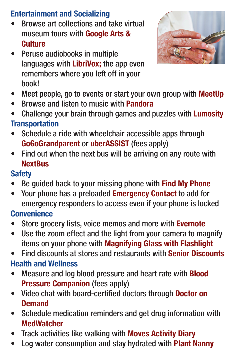#### Entertainment and Socializing

- Browse art collections and take virtual museum tours with Google Arts & **Culture**
- Peruse audiobooks in multiple languages with LibriVox; the app even remembers where you left off in your book!



- Meet people, go to events or start your own group with **MeetUp**
- Browse and listen to music with **Pandora**
- Challenge your brain through games and puzzles with Lumosity **Transportation**
- Schedule a ride with wheelchair accessible apps through GoGoGrandparent or uberASSIST (fees apply)
- Find out when the next bus will be arriving on any route with **NextBus**

#### **Safety**

- Be guided back to your missing phone with Find My Phone
- Your phone has a preloaded **Emergency Contact** to add for emergency responders to access even if your phone is locked

#### **Convenience**

- Store grocery lists, voice memos and more with **Evernote**
- Use the zoom effect and the light from your camera to magnify items on your phone with Magnifying Glass with Flashlight
- Find discounts at stores and restaurants with Senior Discounts Health and Wellness
- Measure and log blood pressure and heart rate with **Blood** Pressure Companion (fees apply)
- Video chat with board-certified doctors through Doctor on **Demand**
- Schedule medication reminders and get drug information with **MedWatcher**
- Track activities like walking with Moves Activity Diary
- Log water consumption and stay hydrated with **Plant Nanny**